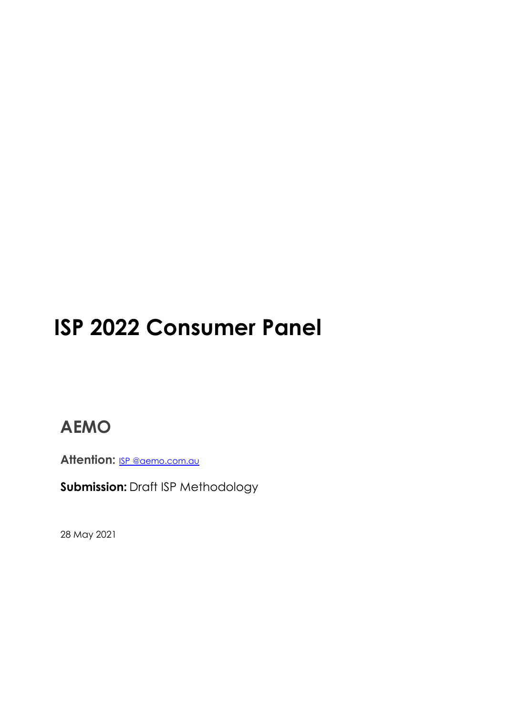# **ISP 2022 Consumer Panel**

# **AEMO**

Attention: **ISP [@aemo.com.au](mailto:forecasting.planning@aemo.com.au)** 

**Submission:** Draft ISP Methodology

28 May 2021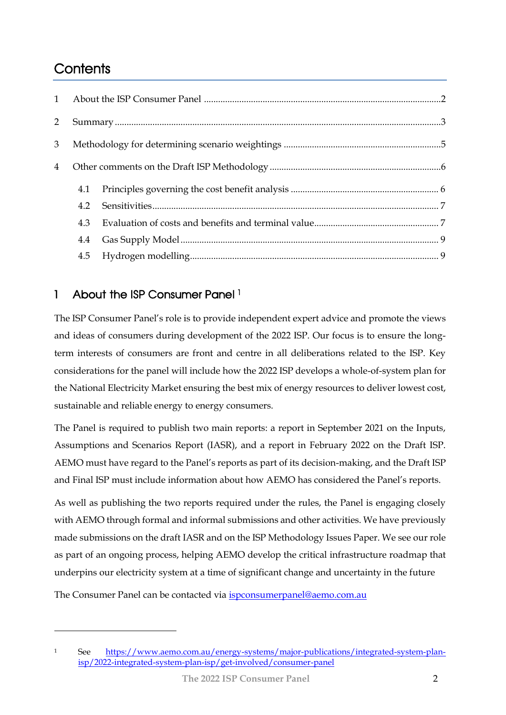# **Contents**

| $\overline{2}$ |     |  |
|----------------|-----|--|
| 3              |     |  |
| $\overline{4}$ |     |  |
|                | 4.1 |  |
|                | 4.2 |  |
|                | 4.3 |  |
|                | 4.4 |  |
|                |     |  |

# <span id="page-1-0"></span>1 About the ISP Consumer Panel <sup>1</sup>

The ISP Consumer Panel's role is to provide independent expert advice and promote the views and ideas of consumers during development of the 2022 ISP. Our focus is to ensure the longterm interests of consumers are front and centre in all deliberations related to the ISP. Key considerations for the panel will include how the 2022 ISP develops a whole-of-system plan for the National Electricity Market ensuring the best mix of energy resources to deliver lowest cost, sustainable and reliable energy to energy consumers.

The Panel is required to publish two main reports: a report in September 2021 on the Inputs, Assumptions and Scenarios Report (IASR), and a report in February 2022 on the Draft ISP. AEMO must have regard to the Panel's reports as part of its decision-making, and the Draft ISP and Final ISP must include information about how AEMO has considered the Panel's reports.

As well as publishing the two reports required under the rules, the Panel is engaging closely with AEMO through formal and informal submissions and other activities. We have previously made submissions on the draft IASR and on the ISP Methodology Issues Paper. We see our role as part of an ongoing process, helping AEMO develop the critical infrastructure roadmap that underpins our electricity system at a time of significant change and uncertainty in the future

The Consumer Panel can be contacted via [ispconsumerpanel@aemo.com.au](mailto:ispconsumerpanel@aemo.com.au)

<sup>1</sup> See [https://www.aemo.com.au/energy-systems/major-publications/integrated-system-plan](https://www.aemo.com.au/energy-systems/major-publications/integrated-system-plan-isp/2022-integrated-system-plan-isp/get-involved/consumer-panel)[isp/2022-integrated-system-plan-isp/get-involved/consumer-panel](https://www.aemo.com.au/energy-systems/major-publications/integrated-system-plan-isp/2022-integrated-system-plan-isp/get-involved/consumer-panel)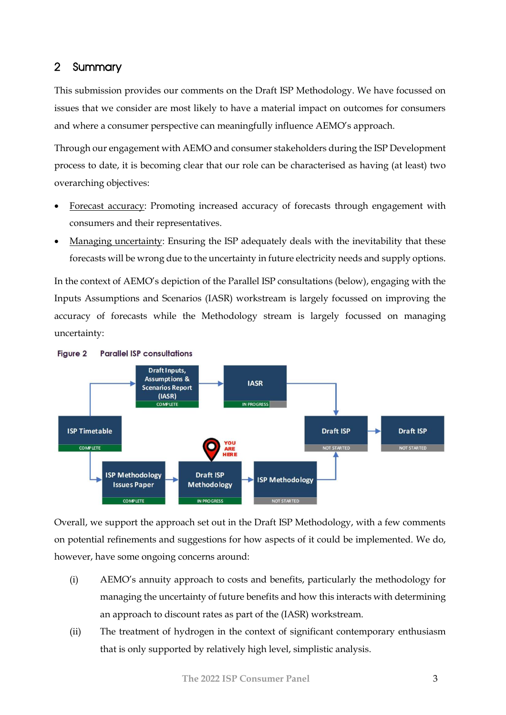### <span id="page-2-0"></span>2 Summary

This submission provides our comments on the Draft ISP Methodology. We have focussed on issues that we consider are most likely to have a material impact on outcomes for consumers and where a consumer perspective can meaningfully influence AEMO's approach.

Through our engagement with AEMO and consumer stakeholders during the ISP Development process to date, it is becoming clear that our role can be characterised as having (at least) two overarching objectives:

- Forecast accuracy: Promoting increased accuracy of forecasts through engagement with consumers and their representatives.
- Managing uncertainty: Ensuring the ISP adequately deals with the inevitability that these forecasts will be wrong due to the uncertainty in future electricity needs and supply options.

In the context of AEMO's depiction of the Parallel ISP consultations (below), engaging with the Inputs Assumptions and Scenarios (IASR) workstream is largely focussed on improving the accuracy of forecasts while the Methodology stream is largely focussed on managing uncertainty:



Overall, we support the approach set out in the Draft ISP Methodology, with a few comments on potential refinements and suggestions for how aspects of it could be implemented. We do, however, have some ongoing concerns around:

- (i) AEMO's annuity approach to costs and benefits, particularly the methodology for managing the uncertainty of future benefits and how this interacts with determining an approach to discount rates as part of the (IASR) workstream.
- (ii) The treatment of hydrogen in the context of significant contemporary enthusiasm that is only supported by relatively high level, simplistic analysis.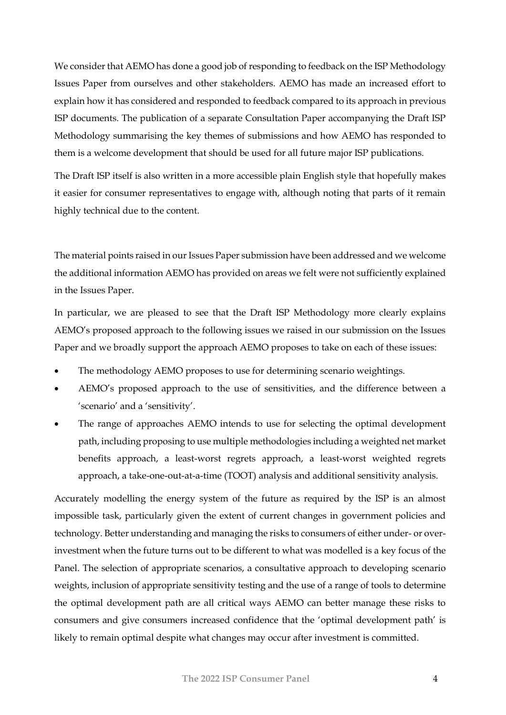We consider that AEMO has done a good job of responding to feedback on the ISP Methodology Issues Paper from ourselves and other stakeholders. AEMO has made an increased effort to explain how it has considered and responded to feedback compared to its approach in previous ISP documents. The publication of a separate Consultation Paper accompanying the Draft ISP Methodology summarising the key themes of submissions and how AEMO has responded to them is a welcome development that should be used for all future major ISP publications.

The Draft ISP itself is also written in a more accessible plain English style that hopefully makes it easier for consumer representatives to engage with, although noting that parts of it remain highly technical due to the content.

The material points raised in our Issues Paper submission have been addressed and we welcome the additional information AEMO has provided on areas we felt were not sufficiently explained in the Issues Paper.

In particular, we are pleased to see that the Draft ISP Methodology more clearly explains AEMO's proposed approach to the following issues we raised in our submission on the Issues Paper and we broadly support the approach AEMO proposes to take on each of these issues:

- The methodology AEMO proposes to use for determining scenario weightings.
- AEMO's proposed approach to the use of sensitivities, and the difference between a 'scenario' and a 'sensitivity'.
- The range of approaches AEMO intends to use for selecting the optimal development path, including proposing to use multiple methodologies including a weighted net market benefits approach, a least-worst regrets approach, a least-worst weighted regrets approach, a take-one-out-at-a-time (TOOT) analysis and additional sensitivity analysis.

Accurately modelling the energy system of the future as required by the ISP is an almost impossible task, particularly given the extent of current changes in government policies and technology. Better understanding and managing the risks to consumers of either under- or overinvestment when the future turns out to be different to what was modelled is a key focus of the Panel. The selection of appropriate scenarios, a consultative approach to developing scenario weights, inclusion of appropriate sensitivity testing and the use of a range of tools to determine the optimal development path are all critical ways AEMO can better manage these risks to consumers and give consumers increased confidence that the 'optimal development path' is likely to remain optimal despite what changes may occur after investment is committed.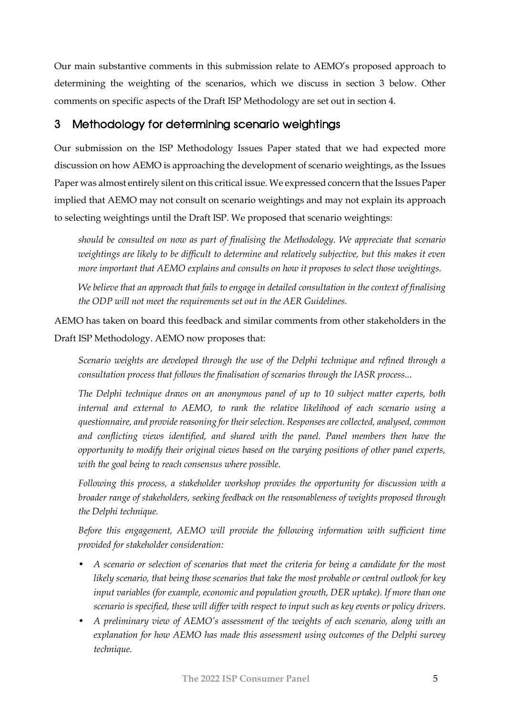Our main substantive comments in this submission relate to AEMO's proposed approach to determining the weighting of the scenarios, which we discuss in section 3 below. Other comments on specific aspects of the Draft ISP Methodology are set out in section 4.

## <span id="page-4-0"></span>3 Methodology for determining scenario weightings

Our submission on the ISP Methodology Issues Paper stated that we had expected more discussion on how AEMO is approaching the development of scenario weightings, as the Issues Paper was almost entirely silent on this critical issue. We expressed concern that the Issues Paper implied that AEMO may not consult on scenario weightings and may not explain its approach to selecting weightings until the Draft ISP. We proposed that scenario weightings:

*should be consulted on now as part of finalising the Methodology. We appreciate that scenario weightings are likely to be difficult to determine and relatively subjective, but this makes it even more important that AEMO explains and consults on how it proposes to select those weightings.* 

*We believe that an approach that fails to engage in detailed consultation in the context of finalising the ODP will not meet the requirements set out in the AER Guidelines.*

AEMO has taken on board this feedback and similar comments from other stakeholders in the Draft ISP Methodology. AEMO now proposes that:

*Scenario weights are developed through the use of the Delphi technique and refined through a consultation process that follows the finalisation of scenarios through the IASR process...*

*The Delphi technique draws on an anonymous panel of up to 10 subject matter experts, both internal and external to AEMO, to rank the relative likelihood of each scenario using a questionnaire, and provide reasoning for their selection. Responses are collected, analysed, common and conflicting views identified, and shared with the panel. Panel members then have the opportunity to modify their original views based on the varying positions of other panel experts, with the goal being to reach consensus where possible.*

*Following this process, a stakeholder workshop provides the opportunity for discussion with a broader range of stakeholders, seeking feedback on the reasonableness of weights proposed through the Delphi technique.*

*Before this engagement, AEMO will provide the following information with sufficient time provided for stakeholder consideration:*

- *A scenario or selection of scenarios that meet the criteria for being a candidate for the most likely scenario, that being those scenarios that take the most probable or central outlook for key input variables (for example, economic and population growth, DER uptake). If more than one scenario is specified, these will differ with respect to input such as key events or policy drivers.*
- *A preliminary view of AEMO's assessment of the weights of each scenario, along with an explanation for how AEMO has made this assessment using outcomes of the Delphi survey technique.*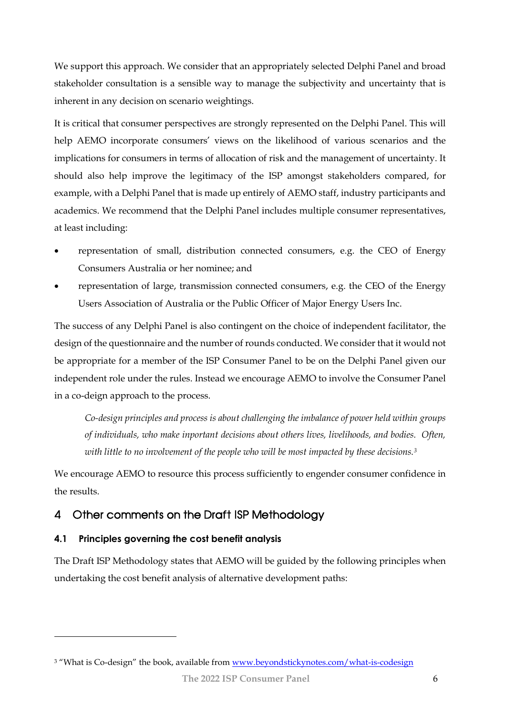We support this approach. We consider that an appropriately selected Delphi Panel and broad stakeholder consultation is a sensible way to manage the subjectivity and uncertainty that is inherent in any decision on scenario weightings.

It is critical that consumer perspectives are strongly represented on the Delphi Panel. This will help AEMO incorporate consumers' views on the likelihood of various scenarios and the implications for consumers in terms of allocation of risk and the management of uncertainty. It should also help improve the legitimacy of the ISP amongst stakeholders compared, for example, with a Delphi Panel that is made up entirely of AEMO staff, industry participants and academics. We recommend that the Delphi Panel includes multiple consumer representatives, at least including:

- representation of small, distribution connected consumers, e.g. the CEO of Energy Consumers Australia or her nominee; and
- representation of large, transmission connected consumers, e.g. the CEO of the Energy Users Association of Australia or the Public Officer of Major Energy Users Inc.

The success of any Delphi Panel is also contingent on the choice of independent facilitator, the design of the questionnaire and the number of rounds conducted. We consider that it would not be appropriate for a member of the ISP Consumer Panel to be on the Delphi Panel given our independent role under the rules. Instead we encourage AEMO to involve the Consumer Panel in a co-deign approach to the process.

*Co-design principles and process is about challenging the imbalance of power held within groups of individuals, who make inportant decisions about others lives, livelihoods, and bodies. Often, with little to no involvement of the people who will be most impacted by these decisions.<sup>3</sup>*

We encourage AEMO to resource this process sufficiently to engender consumer confidence in the results.

# <span id="page-5-0"></span>4 Other comments on the Draft ISP Methodology

#### <span id="page-5-1"></span>**4.1 Principles governing the cost benefit analysis**

The Draft ISP Methodology states that AEMO will be guided by the following principles when undertaking the cost benefit analysis of alternative development paths:

<sup>&</sup>lt;sup>3</sup> "What is Co-design" the book, available from [www.beyondstickynotes.com/what-is-codesign](http://www.beyondstickynotes.com/what-is-codesign)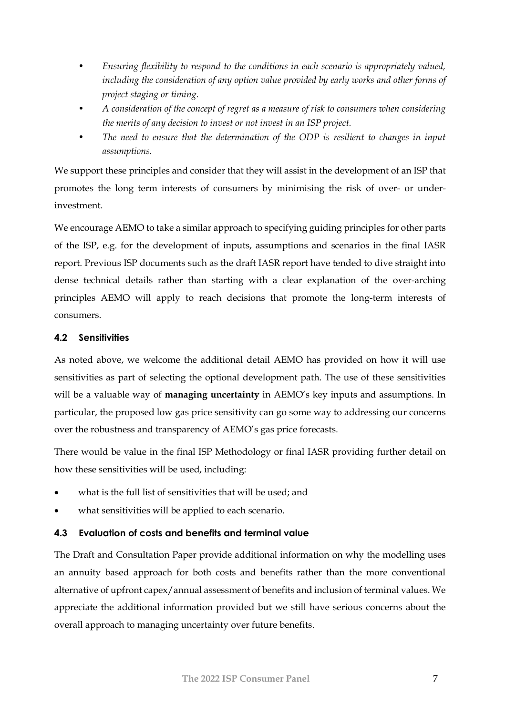- *Ensuring flexibility to respond to the conditions in each scenario is appropriately valued,*  including the consideration of any option value provided by early works and other forms of *project staging or timing.*
- *A consideration of the concept of regret as a measure of risk to consumers when considering the merits of any decision to invest or not invest in an ISP project.*
- *The need to ensure that the determination of the ODP is resilient to changes in input assumptions.*

We support these principles and consider that they will assist in the development of an ISP that promotes the long term interests of consumers by minimising the risk of over- or underinvestment.

We encourage AEMO to take a similar approach to specifying guiding principles for other parts of the ISP, e.g. for the development of inputs, assumptions and scenarios in the final IASR report. Previous ISP documents such as the draft IASR report have tended to dive straight into dense technical details rather than starting with a clear explanation of the over-arching principles AEMO will apply to reach decisions that promote the long-term interests of consumers.

#### <span id="page-6-0"></span>**4.2 Sensitivities**

As noted above, we welcome the additional detail AEMO has provided on how it will use sensitivities as part of selecting the optional development path. The use of these sensitivities will be a valuable way of **managing uncertainty** in AEMO's key inputs and assumptions. In particular, the proposed low gas price sensitivity can go some way to addressing our concerns over the robustness and transparency of AEMO's gas price forecasts.

There would be value in the final ISP Methodology or final IASR providing further detail on how these sensitivities will be used, including:

- what is the full list of sensitivities that will be used; and
- what sensitivities will be applied to each scenario.

#### <span id="page-6-1"></span>**4.3 Evaluation of costs and benefits and terminal value**

The Draft and Consultation Paper provide additional information on why the modelling uses an annuity based approach for both costs and benefits rather than the more conventional alternative of upfront capex/annual assessment of benefits and inclusion of terminal values. We appreciate the additional information provided but we still have serious concerns about the overall approach to managing uncertainty over future benefits.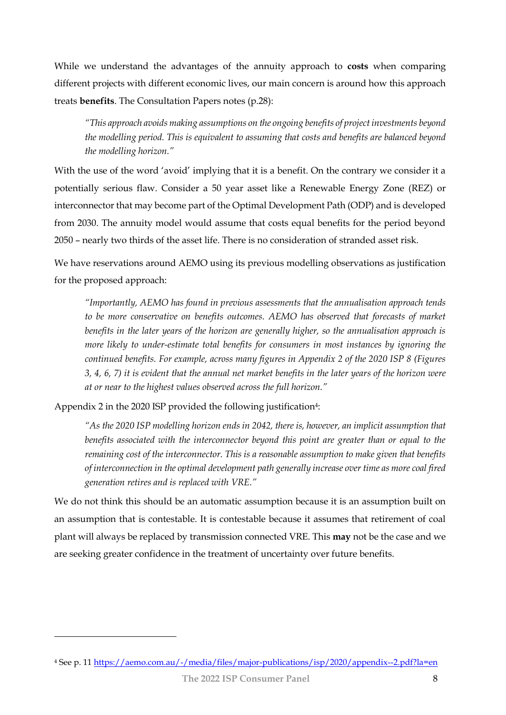While we understand the advantages of the annuity approach to **costs** when comparing different projects with different economic lives, our main concern is around how this approach treats **benefits**. The Consultation Papers notes (p.28):

*"This approach avoids making assumptions on the ongoing benefits of project investments beyond the modelling period. This is equivalent to assuming that costs and benefits are balanced beyond the modelling horizon."*

With the use of the word 'avoid' implying that it is a benefit. On the contrary we consider it a potentially serious flaw. Consider a 50 year asset like a Renewable Energy Zone (REZ) or interconnector that may become part of the Optimal Development Path (ODP) and is developed from 2030. The annuity model would assume that costs equal benefits for the period beyond 2050 – nearly two thirds of the asset life. There is no consideration of stranded asset risk.

We have reservations around AEMO using its previous modelling observations as justification for the proposed approach:

*"Importantly, AEMO has found in previous assessments that the annualisation approach tends to be more conservative on benefits outcomes. AEMO has observed that forecasts of market benefits in the later years of the horizon are generally higher, so the annualisation approach is more likely to under-estimate total benefits for consumers in most instances by ignoring the continued benefits. For example, across many figures in Appendix 2 of the 2020 ISP 8 (Figures 3, 4, 6, 7) it is evident that the annual net market benefits in the later years of the horizon were at or near to the highest values observed across the full horizon."*

Appendix 2 in the 2020 ISP provided the following justification<sup>4</sup>:

*"As the 2020 ISP modelling horizon ends in 2042, there is, however, an implicit assumption that benefits associated with the interconnector beyond this point are greater than or equal to the remaining cost of the interconnector. This is a reasonable assumption to make given that benefits of interconnection in the optimal development path generally increase over time as more coal fired generation retires and is replaced with VRE."*

We do not think this should be an automatic assumption because it is an assumption built on an assumption that is contestable. It is contestable because it assumes that retirement of coal plant will always be replaced by transmission connected VRE. This **may** not be the case and we are seeking greater confidence in the treatment of uncertainty over future benefits.

<sup>4</sup> See p. 11<https://aemo.com.au/-/media/files/major-publications/isp/2020/appendix--2.pdf?la=en>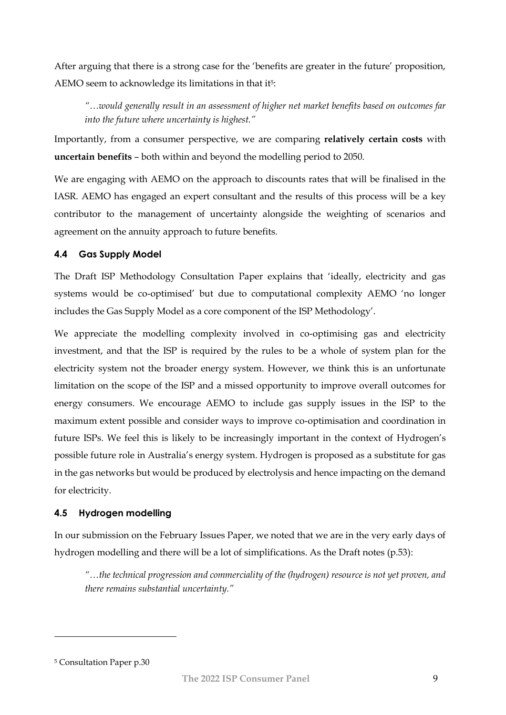After arguing that there is a strong case for the 'benefits are greater in the future' proposition, AEMO seem to acknowledge its limitations in that it<sup>5</sup>:

*"…would generally result in an assessment of higher net market benefits based on outcomes far into the future where uncertainty is highest."*

Importantly, from a consumer perspective, we are comparing **relatively certain costs** with **uncertain benefits** – both within and beyond the modelling period to 2050.

We are engaging with AEMO on the approach to discounts rates that will be finalised in the IASR. AEMO has engaged an expert consultant and the results of this process will be a key contributor to the management of uncertainty alongside the weighting of scenarios and agreement on the annuity approach to future benefits.

#### <span id="page-8-0"></span>**4.4 Gas Supply Model**

The Draft ISP Methodology Consultation Paper explains that 'ideally, electricity and gas systems would be co-optimised' but due to computational complexity AEMO 'no longer includes the Gas Supply Model as a core component of the ISP Methodology'.

We appreciate the modelling complexity involved in co-optimising gas and electricity investment, and that the ISP is required by the rules to be a whole of system plan for the electricity system not the broader energy system. However, we think this is an unfortunate limitation on the scope of the ISP and a missed opportunity to improve overall outcomes for energy consumers. We encourage AEMO to include gas supply issues in the ISP to the maximum extent possible and consider ways to improve co-optimisation and coordination in future ISPs. We feel this is likely to be increasingly important in the context of Hydrogen's possible future role in Australia's energy system. Hydrogen is proposed as a substitute for gas in the gas networks but would be produced by electrolysis and hence impacting on the demand for electricity.

#### <span id="page-8-1"></span>**4.5 Hydrogen modelling**

In our submission on the February Issues Paper, we noted that we are in the very early days of hydrogen modelling and there will be a lot of simplifications. As the Draft notes (p.53):

*"…the technical progression and commerciality of the (hydrogen) resource is not yet proven, and there remains substantial uncertainty."*

<sup>5</sup> Consultation Paper p.30